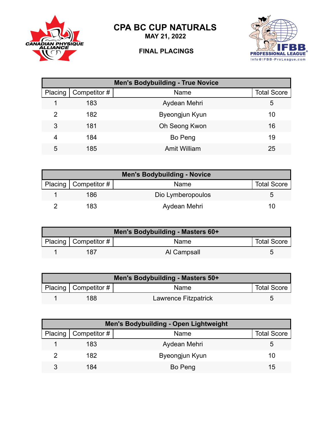**CPA BC CUP NATURALS**



**MAY 21, 2022**

## **FINAL PLACINGS**



| <b>Men's Bodybuilding - True Novice</b> |              |                     |                    |  |
|-----------------------------------------|--------------|---------------------|--------------------|--|
| Placing                                 | Competitor # | Name                | <b>Total Score</b> |  |
|                                         | 183          | Aydean Mehri        | 5                  |  |
| 2                                       | 182          | Byeongjun Kyun      | 10                 |  |
| 3                                       | 181          | Oh Seong Kwon       | 16                 |  |
| 4                                       | 184          | Bo Peng             | 19                 |  |
| 5                                       | 185          | <b>Amit William</b> | 25                 |  |

| <b>Men's Bodybuilding - Novice</b> |                        |                   |                    |  |
|------------------------------------|------------------------|-------------------|--------------------|--|
|                                    | Placing   Competitor # | Name              | <b>Total Score</b> |  |
|                                    | 186                    | Dio Lymberopoulos |                    |  |
|                                    | 183                    | Aydean Mehri      | 10                 |  |

| Men's Bodybuilding - Masters 60+ |                        |             |                    |  |
|----------------------------------|------------------------|-------------|--------------------|--|
|                                  | Placing   Competitor # | <b>Name</b> | <b>Total Score</b> |  |
|                                  | 187                    | Al Campsall |                    |  |

| Men's Bodybuilding - Masters 50+ |                        |                      |                    |  |
|----------------------------------|------------------------|----------------------|--------------------|--|
|                                  | Placing   Competitor # | Name                 | <b>Total Score</b> |  |
|                                  | 188                    | Lawrence Fitzpatrick |                    |  |

| Men's Bodybuilding - Open Lightweight |                        |                |                    |  |
|---------------------------------------|------------------------|----------------|--------------------|--|
|                                       | Placing   Competitor # | Name           | <b>Total Score</b> |  |
|                                       | 183                    | Aydean Mehri   | b                  |  |
|                                       | 182                    | Byeongjun Kyun | 10                 |  |
|                                       | 184                    | Bo Peng        | 15                 |  |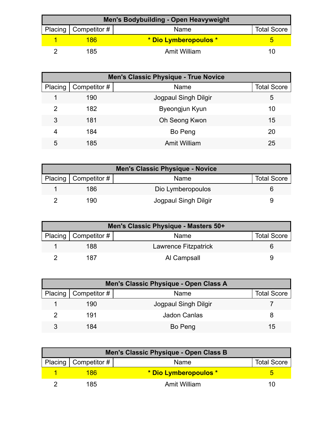| Men's Bodybuilding - Open Heavyweight |                        |                       |                    |  |
|---------------------------------------|------------------------|-----------------------|--------------------|--|
|                                       | Placing   Competitor # | Name                  | <b>Total Score</b> |  |
|                                       | 186                    | * Dio Lymberopoulos * |                    |  |
|                                       | 185.                   | Amit William          | 10                 |  |

| <b>Men's Classic Physique - True Novice</b> |              |                      |                    |  |
|---------------------------------------------|--------------|----------------------|--------------------|--|
| Placing                                     | Competitor # | Name                 | <b>Total Score</b> |  |
|                                             | 190          | Jogpaul Singh Dilgir | 5                  |  |
| 2                                           | 182          | Byeongjun Kyun       | 10                 |  |
| 3                                           | 181          | Oh Seong Kwon        | 15                 |  |
| 4                                           | 184          | Bo Peng              | 20                 |  |
| 5                                           | 185          | <b>Amit William</b>  | 25                 |  |

| <b>Men's Classic Physique - Novice</b> |                        |                      |                    |
|----------------------------------------|------------------------|----------------------|--------------------|
|                                        | Placing   Competitor # | Name                 | <b>Total Score</b> |
|                                        | 186                    | Dio Lymberopoulos    |                    |
|                                        | 190                    | Jogpaul Singh Dilgir |                    |

| Men's Classic Physique - Masters 50+ |                        |                      |                    |  |
|--------------------------------------|------------------------|----------------------|--------------------|--|
|                                      | Placing   Competitor # | Name                 | <b>Total Score</b> |  |
|                                      | 188                    | Lawrence Fitzpatrick |                    |  |
|                                      | 187                    | Al Campsall          |                    |  |

| Men's Classic Physique - Open Class A |                        |                      |                    |  |
|---------------------------------------|------------------------|----------------------|--------------------|--|
|                                       | Placing   Competitor # | Name                 | <b>Total Score</b> |  |
|                                       | 190                    | Jogpaul Singh Dilgir |                    |  |
|                                       | 191                    | <b>Jadon Canlas</b>  |                    |  |
| 3                                     | 184                    | Bo Peng              | 15                 |  |

| Men's Classic Physique - Open Class B |                        |                       |                    |  |
|---------------------------------------|------------------------|-----------------------|--------------------|--|
|                                       | Placing   Competitor # | Name                  | <b>Total Score</b> |  |
|                                       | 186                    | * Dio Lymberopoulos * |                    |  |
|                                       | 185                    | Amit William          | 7 O I              |  |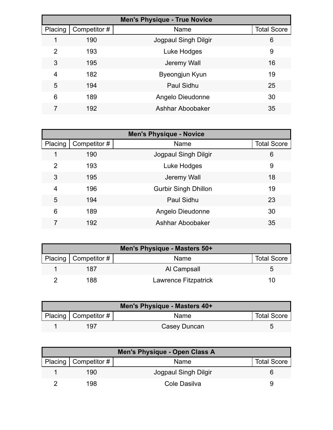| <b>Men's Physique - True Novice</b> |              |                      |                    |  |
|-------------------------------------|--------------|----------------------|--------------------|--|
| Placing                             | Competitor # | Name                 | <b>Total Score</b> |  |
|                                     | 190          | Jogpaul Singh Dilgir | 6                  |  |
| 2                                   | 193          | Luke Hodges          | 9                  |  |
| 3                                   | 195          | Jeremy Wall          | 16                 |  |
| 4                                   | 182          | Byeongjun Kyun       | 19                 |  |
| 5                                   | 194          | Paul Sidhu           | 25                 |  |
| 6                                   | 189          | Angelo Dieudonne     | 30                 |  |
|                                     | 192          | Ashhar Aboobaker     | 35                 |  |

| <b>Men's Physique - Novice</b> |              |                             |                    |
|--------------------------------|--------------|-----------------------------|--------------------|
| Placing                        | Competitor # | Name                        | <b>Total Score</b> |
| 1                              | 190          | Jogpaul Singh Dilgir        | 6                  |
| $\overline{2}$                 | 193          | Luke Hodges                 | 9                  |
| 3                              | 195          | Jeremy Wall                 | 18                 |
| $\overline{4}$                 | 196          | <b>Gurbir Singh Dhillon</b> | 19                 |
| 5                              | 194          | Paul Sidhu                  | 23                 |
| 6                              | 189          | Angelo Dieudonne            | 30                 |
|                                | 192          | Ashhar Aboobaker            | 35                 |

| Men's Physique - Masters 50+ |                      |                    |  |  |
|------------------------------|----------------------|--------------------|--|--|
| Placing   Competitor $#$     | Name                 | <b>Total Score</b> |  |  |
| 187                          | Al Campsall          |                    |  |  |
| 188                          | Lawrence Fitzpatrick | '''                |  |  |

| Men's Physique - Masters 40+ |                        |              |                    |  |
|------------------------------|------------------------|--------------|--------------------|--|
|                              | Placing   Competitor # | Name         | <b>Total Score</b> |  |
|                              | 197                    | Casey Duncan |                    |  |

| Men's Physique - Open Class A |                        |                      |                    |  |
|-------------------------------|------------------------|----------------------|--------------------|--|
|                               | Placing   Competitor # | Name                 | <b>Total Score</b> |  |
|                               | 190                    | Jogpaul Singh Dilgir |                    |  |
|                               | 198                    | Cole Dasilva         |                    |  |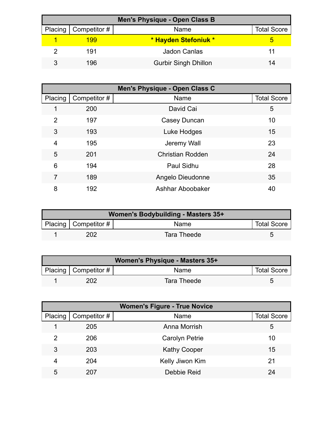| <b>Men's Physique - Open Class B</b> |                        |                             |                    |  |
|--------------------------------------|------------------------|-----------------------------|--------------------|--|
|                                      | Placing   Competitor # | Name                        | <b>Total Score</b> |  |
|                                      | 199                    | * Hayden Stefoniuk *        |                    |  |
|                                      | 191                    | <b>Jadon Canlas</b>         | 11                 |  |
|                                      | 196                    | <b>Gurbir Singh Dhillon</b> | 14                 |  |

|                |              | Men's Physique - Open Class C |                    |
|----------------|--------------|-------------------------------|--------------------|
| Placing        | Competitor # | Name                          | <b>Total Score</b> |
|                | 200          | David Cai                     | 5                  |
| $\overline{2}$ | 197          | Casey Duncan                  | 10                 |
| 3              | 193          | Luke Hodges                   | 15                 |
| $\overline{4}$ | 195          | Jeremy Wall                   | 23                 |
| 5              | 201          | <b>Christian Rodden</b>       | 24                 |
| 6              | 194          | Paul Sidhu                    | 28                 |
| 7              | 189          | Angelo Dieudonne              | 35                 |
| 8              | 192          | Ashhar Aboobaker              | 40                 |

| Women's Bodybuilding - Masters 35+ |                        |             |                    |  |
|------------------------------------|------------------------|-------------|--------------------|--|
|                                    | Placing   Competitor # | Name        | <b>Total Score</b> |  |
|                                    | <b>202</b>             | Tara Theede |                    |  |

| Women's Physique - Masters 35+ |                        |             |                    |  |
|--------------------------------|------------------------|-------------|--------------------|--|
|                                | Placing   Competitor # | <b>Name</b> | <b>Total Score</b> |  |
|                                | 202.                   | Tara Theede |                    |  |

| <b>Women's Figure - True Novice</b> |              |                       |                    |
|-------------------------------------|--------------|-----------------------|--------------------|
| Placing                             | Competitor # | Name                  | <b>Total Score</b> |
|                                     | 205          | Anna Morrish          | 5                  |
| $\overline{2}$                      | 206          | <b>Carolyn Petrie</b> | 10                 |
| 3                                   | 203          | <b>Kathy Cooper</b>   | 15                 |
| 4                                   | 204          | Kelly Jiwon Kim       | 21                 |
| 5                                   | 207          | Debbie Reid           | 24                 |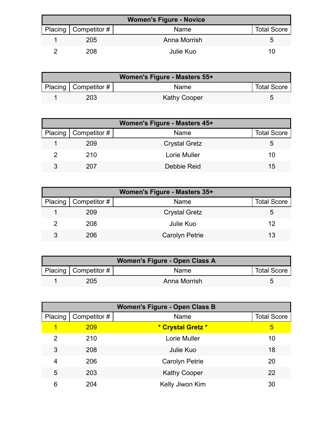| <b>Women's Figure - Novice</b> |                        |              |                    |  |
|--------------------------------|------------------------|--------------|--------------------|--|
|                                | Placing   Competitor # | Name         | <b>Total Score</b> |  |
|                                | 205                    | Anna Morrish | 5.                 |  |
|                                | 208                    | Julie Kuo    | 10                 |  |

| Women's Figure - Masters 55+ |                           |                     |                    |  |
|------------------------------|---------------------------|---------------------|--------------------|--|
|                              | Placing   Competitor $\#$ | Name                | <b>Total Score</b> |  |
|                              | 203                       | <b>Kathy Cooper</b> |                    |  |

| Women's Figure - Masters 45+ |                        |                      |                    |  |
|------------------------------|------------------------|----------------------|--------------------|--|
|                              | Placing   Competitor # | Name                 | <b>Total Score</b> |  |
|                              | 209                    | <b>Crystal Gretz</b> | 5                  |  |
|                              | 210                    | Lorie Muller         | 10                 |  |
| 3                            | 207                    | Debbie Reid          | 15                 |  |

| Women's Figure - Masters 35+ |                        |                       |                    |  |
|------------------------------|------------------------|-----------------------|--------------------|--|
|                              | Placing   Competitor # | Name                  | <b>Total Score</b> |  |
|                              | 209                    | <b>Crystal Gretz</b>  | 5.                 |  |
|                              | 208                    | Julie Kuo             | 12                 |  |
| 3                            | 206                    | <b>Carolyn Petrie</b> | 13                 |  |

| Women's Figure - Open Class A |                        |              |                    |  |
|-------------------------------|------------------------|--------------|--------------------|--|
|                               | Placing   Competitor # | <b>Name</b>  | <b>Total Score</b> |  |
|                               | 205                    | Anna Morrish |                    |  |

| <b>Women's Figure - Open Class B</b> |              |                     |                    |  |
|--------------------------------------|--------------|---------------------|--------------------|--|
| Placing                              | Competitor # | Name                | <b>Total Score</b> |  |
|                                      | 209          | * Crystal Gretz *   | 5                  |  |
| 2                                    | 210          | Lorie Muller        | 10                 |  |
| 3                                    | 208          | Julie Kuo           | 18                 |  |
| 4                                    | 206          | Carolyn Petrie      | 20                 |  |
| 5                                    | 203          | <b>Kathy Cooper</b> | 22                 |  |
| 6                                    | 204          | Kelly Jiwon Kim     | 30                 |  |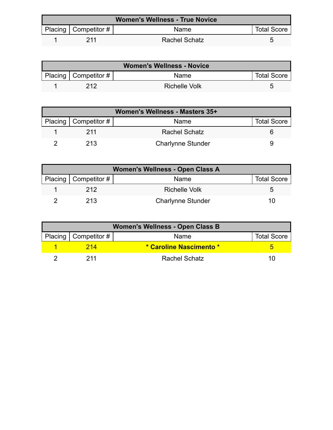| <b>Women's Wellness - True Novice</b> |                           |                      |                    |  |
|---------------------------------------|---------------------------|----------------------|--------------------|--|
|                                       | Placing   Competitor $\#$ | <b>Name</b>          | <b>Total Score</b> |  |
|                                       | 211                       | <b>Rachel Schatz</b> |                    |  |

| <b>Women's Wellness - Novice</b> |                          |               |                    |  |
|----------------------------------|--------------------------|---------------|--------------------|--|
|                                  | Placing   Competitor $#$ | <b>Name</b>   | <b>Total Score</b> |  |
|                                  | 212                      | Richelle Volk |                    |  |

| Women's Wellness - Masters 35+ |                            |                          |                    |  |
|--------------------------------|----------------------------|--------------------------|--------------------|--|
|                                | Placing   Competitor # $ $ | Name                     | <b>Total Score</b> |  |
|                                | 211                        | <b>Rachel Schatz</b>     |                    |  |
|                                | 213                        | <b>Charlynne Stunder</b> |                    |  |

| Women's Wellness - Open Class A |                        |                          |                    |  |
|---------------------------------|------------------------|--------------------------|--------------------|--|
|                                 | Placing   Competitor # | Name                     | <b>Total Score</b> |  |
|                                 | 212                    | Richelle Volk            | ∽                  |  |
|                                 | 213                    | <b>Charlynne Stunder</b> | 10                 |  |

| <b>Women's Wellness - Open Class B</b> |                        |                         |                    |  |
|----------------------------------------|------------------------|-------------------------|--------------------|--|
|                                        | Placing   Competitor # | Name                    | <b>Total Score</b> |  |
|                                        | 214                    | * Caroline Nascimento * |                    |  |
|                                        | 211                    | <b>Rachel Schatz</b>    | 10                 |  |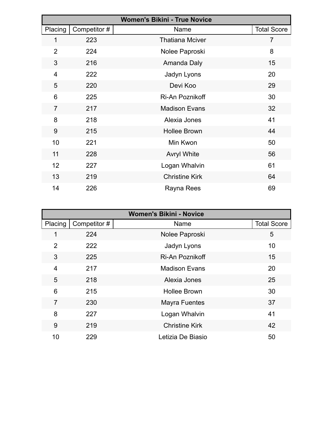|                |              | <b>Women's Bikini - True Novice</b> |                    |
|----------------|--------------|-------------------------------------|--------------------|
| Placing        | Competitor # | Name                                | <b>Total Score</b> |
| 1              | 223          | <b>Thatiana Mciver</b>              | 7                  |
| $\overline{2}$ | 224          | Nolee Paproski                      | 8                  |
| 3              | 216          | Amanda Daly                         | 15                 |
| 4              | 222          | Jadyn Lyons                         | 20                 |
| 5              | 220          | Devi Koo                            | 29                 |
| 6              | 225          | Ri-An Poznikoff                     | 30                 |
| $\overline{7}$ | 217          | <b>Madison Evans</b>                | 32                 |
| 8              | 218          | Alexia Jones                        | 41                 |
| 9              | 215          | <b>Hollee Brown</b>                 | 44                 |
| 10             | 221          | Min Kwon                            | 50                 |
| 11             | 228          | <b>Avryl White</b>                  | 56                 |
| 12             | 227          | Logan Whalvin                       | 61                 |
| 13             | 219          | <b>Christine Kirk</b>               | 64                 |
| 14             | 226          | Rayna Rees                          | 69                 |

| <b>Women's Bikini - Novice</b> |              |                       |                    |
|--------------------------------|--------------|-----------------------|--------------------|
| Placing                        | Competitor # | Name                  | <b>Total Score</b> |
|                                | 224          | Nolee Paproski        | 5                  |
| $\overline{2}$                 | 222          | Jadyn Lyons           | 10                 |
| 3                              | 225          | Ri-An Poznikoff       | 15                 |
| 4                              | 217          | <b>Madison Evans</b>  | 20                 |
| 5                              | 218          | Alexia Jones          | 25                 |
| 6                              | 215          | <b>Hollee Brown</b>   | 30                 |
| $\overline{7}$                 | 230          | <b>Mayra Fuentes</b>  | 37                 |
| 8                              | 227          | Logan Whalvin         | 41                 |
| 9                              | 219          | <b>Christine Kirk</b> | 42                 |
| 10                             | 229          | Letizia De Biasio     | 50                 |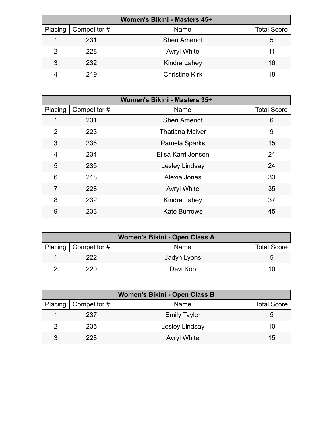| Women's Bikini - Masters 45+ |              |                       |                    |  |
|------------------------------|--------------|-----------------------|--------------------|--|
| Placing                      | Competitor # | Name                  | <b>Total Score</b> |  |
|                              | 231          | <b>Sheri Amendt</b>   | 5                  |  |
| $\mathcal{P}$                | 228          | <b>Avryl White</b>    | 11                 |  |
| 3                            | 232          | Kindra Lahey          | 16                 |  |
|                              | 219          | <b>Christine Kirk</b> | 18                 |  |

|                |              | Women's Bikini - Masters 35+ |                    |
|----------------|--------------|------------------------------|--------------------|
| Placing        | Competitor # | Name                         | <b>Total Score</b> |
|                | 231          | <b>Sheri Amendt</b>          | 6                  |
| $\overline{2}$ | 223          | <b>Thatiana Mciver</b>       | 9                  |
| 3              | 236          | Pamela Sparks                | 15                 |
| 4              | 234          | Elisa Karri Jensen           | 21                 |
| 5              | 235          | Lesley Lindsay               | 24                 |
| 6              | 218          | Alexia Jones                 | 33                 |
| $\overline{7}$ | 228          | <b>Avryl White</b>           | 35                 |
| 8              | 232          | Kindra Lahey                 | 37                 |
| 9              | 233          | <b>Kate Burrows</b>          | 45                 |

| Women's Bikini - Open Class A |                          |             |                    |  |  |  |
|-------------------------------|--------------------------|-------------|--------------------|--|--|--|
|                               | Placing   Competitor $#$ | Name        | <b>Total Score</b> |  |  |  |
|                               | 222.                     | Jadyn Lyons | G                  |  |  |  |
|                               | 220                      | Devi Koo    | 10                 |  |  |  |

| Women's Bikini - Open Class B |                        |                     |                    |  |  |  |
|-------------------------------|------------------------|---------------------|--------------------|--|--|--|
|                               | Placing   Competitor # | Name                | <b>Total Score</b> |  |  |  |
|                               | 237                    | <b>Emily Taylor</b> | 5                  |  |  |  |
|                               | 235                    | Lesley Lindsay      | 10                 |  |  |  |
| 3                             | 228                    | <b>Avryl White</b>  | 15                 |  |  |  |